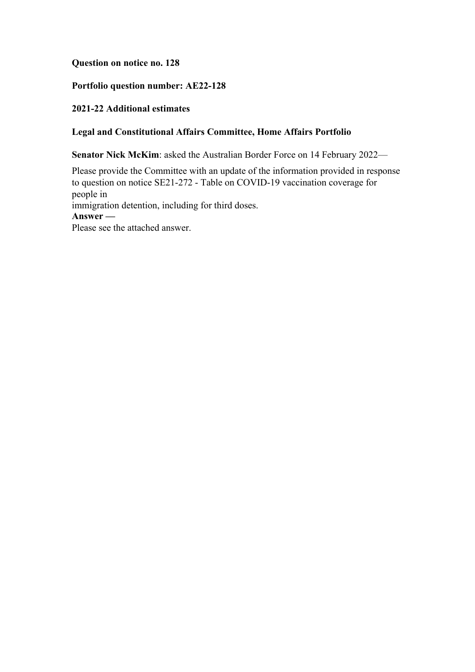## **Question on notice no. 128**

# **Portfolio question number: AE22-128**

## **2021-22 Additional estimates**

### **Legal and Constitutional Affairs Committee, Home Affairs Portfolio**

**Senator Nick McKim**: asked the Australian Border Force on 14 February 2022—

Please provide the Committee with an update of the information provided in response to question on notice SE21-272 - Table on COVID-19 vaccination coverage for people in immigration detention, including for third doses. **Answer —** Please see the attached answer.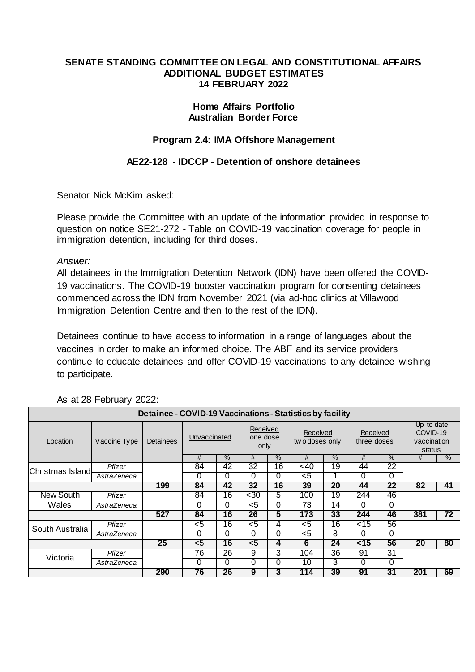### **SENATE STANDING COMMITTEE ON LEGAL AND CONSTITUTIONAL AFFAIRS ADDITIONAL BUDGET ESTIMATES 14 FEBRUARY 2022**

## **Home Affairs Portfolio Australian Border Force**

# **Program 2.4: IMA Offshore Management**

# **AE22-128 - IDCCP - Detention of onshore detainees**

Senator Nick McKim asked:

Please provide the Committee with an update of the information provided in response to question on notice SE21-272 - Table on COVID-19 vaccination coverage for people in immigration detention, including for third doses.

*Answer:*

All detainees in the Immigration Detention Network (IDN) have been offered the COVID-19 vaccinations. The COVID-19 booster vaccination program for consenting detainees commenced across the IDN from November 2021 (via ad-hoc clinics at Villawood Immigration Detention Centre and then to the rest of the IDN).

Detainees continue to have access to information in a range of languages about the vaccines in order to make an informed choice. The ABF and its service providers continue to educate detainees and offer COVID-19 vaccinations to any detainee wishing to participate.

| Detainee - COVID-19 Vaccinations - Statistics by facility |              |                  |              |               |                              |    |                            |                 |                         |               |                                                 |               |
|-----------------------------------------------------------|--------------|------------------|--------------|---------------|------------------------------|----|----------------------------|-----------------|-------------------------|---------------|-------------------------------------------------|---------------|
| Location                                                  | Vaccine Type | <b>Detainees</b> | Unvaccinated |               | Received<br>one dose<br>only |    | Received<br>two doses only |                 | Received<br>three doses |               | Up to date<br>COVID-19<br>vaccination<br>status |               |
|                                                           |              |                  | #            | $\frac{9}{6}$ | #                            | %  | #                          | $\frac{9}{6}$   | #                       | $\frac{9}{6}$ | #                                               | $\frac{9}{6}$ |
| Christmas Island-                                         | Pfizer       |                  | 84           | 42            | 32                           | 16 | <40                        | 19              | 44                      | 22            |                                                 |               |
|                                                           | AstraZeneca  |                  | 0            | 0             | 0                            | 0  | <5                         |                 | 0                       | $\Omega$      |                                                 |               |
|                                                           |              | 199              | 84           | 42            | 32                           | 16 | 39                         | 20              | 44                      | 22            | 82                                              | 41            |
| <b>New South</b>                                          | Pfizer       |                  | 84           | 16            | $30$                         | 5  | 100                        | 19              | 244                     | 46            |                                                 |               |
| Wales                                                     | AstraZeneca  |                  | 0            | 0             | $<$ 5                        | 0  | 73                         | 14              | 0                       | 0             |                                                 |               |
|                                                           |              | 527              | 84           | 16            | 26                           | 5  | 173                        | 33              | 244                     | 46            | 381                                             | 72            |
| South Australia                                           | Pfizer       |                  | <5           | 16            | $<$ 5                        | 4  | <5                         | $\overline{16}$ | $<$ 15                  | 56            |                                                 |               |
|                                                           | AstraZeneca  |                  | 0            | $\Omega$      | 0                            | 0  | <5                         | 8               | 0                       | 0             |                                                 |               |
|                                                           |              | 25               | $5$          | 16            | $<$ 5                        | 4  | 6                          | 24              | $\overline{5}$          | 56            | 20                                              | 80            |
| Victoria                                                  | Pfizer       |                  | 76           | 26            | 9                            | 3  | 104                        | 36              | 91                      | 31            |                                                 |               |
|                                                           | AstraZeneca  |                  | 0            | 0             | 0                            | 0  | 10                         | 3               | 0                       | 0             |                                                 |               |
|                                                           |              | 290              | 76           | 26            | 9                            | 3  | 114                        | 39              | 91                      | 31            | 201                                             | 69            |

#### As at 28 February 2022: